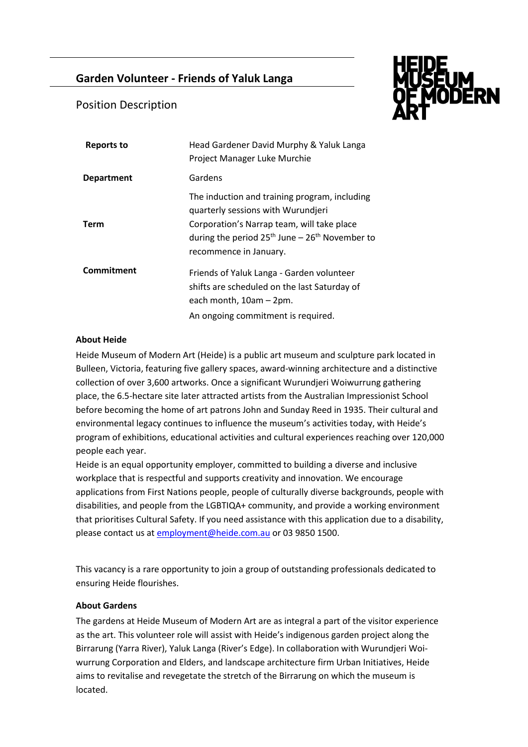# **Garden Volunteer - Friends of Yaluk Langa**



## Position Description

| <b>Reports to</b> | Head Gardener David Murphy & Yaluk Langa<br>Project Manager Luke Murchie                                                                                                                                          |
|-------------------|-------------------------------------------------------------------------------------------------------------------------------------------------------------------------------------------------------------------|
| <b>Department</b> | Gardens                                                                                                                                                                                                           |
| <b>Term</b>       | The induction and training program, including<br>quarterly sessions with Wurundjeri<br>Corporation's Narrap team, will take place<br>during the period $25th$ June – $26th$ November to<br>recommence in January. |
| Commitment        | Friends of Yaluk Langa - Garden volunteer<br>shifts are scheduled on the last Saturday of<br>each month, 10am - 2pm.<br>An ongoing commitment is required.                                                        |

#### **About Heide**

Heide Museum of Modern Art (Heide) is a public art museum and sculpture park located in Bulleen, Victoria, featuring five gallery spaces, award-winning architecture and a distinctive collection of over 3,600 artworks. Once a significant Wurundjeri Woiwurrung gathering place, the 6.5-hectare site later attracted artists from the Australian Impressionist School before becoming the home of art patrons John and Sunday Reed in 1935. Their cultural and environmental legacy continues to influence the museum's activities today, with Heide's program of exhibitions, educational activities and cultural experiences reaching over 120,000 people each year.

Heide is an equal opportunity employer, committed to building a diverse and inclusive workplace that is respectful and supports creativity and innovation. We encourage applications from First Nations people, people of culturally diverse backgrounds, people with disabilities, and people from the LGBTIQA+ community, and provide a working environment that prioritises Cultural Safety. If you need assistance with this application due to a disability, please contact us at [employment@heide.com.au](mailto:employment@heide.com.au) or 03 9850 1500.

This vacancy is a rare opportunity to join a group of outstanding professionals dedicated to ensuring Heide flourishes.

#### **About Gardens**

The gardens at Heide Museum of Modern Art are as integral a part of the visitor experience as the art. This volunteer role will assist with Heide's indigenous garden project along the Birrarung (Yarra River), Yaluk Langa (River's Edge). In collaboration with Wurundjeri Woiwurrung Corporation and Elders, and landscape architecture firm Urban Initiatives, Heide aims to revitalise and revegetate the stretch of the Birrarung on which the museum is located.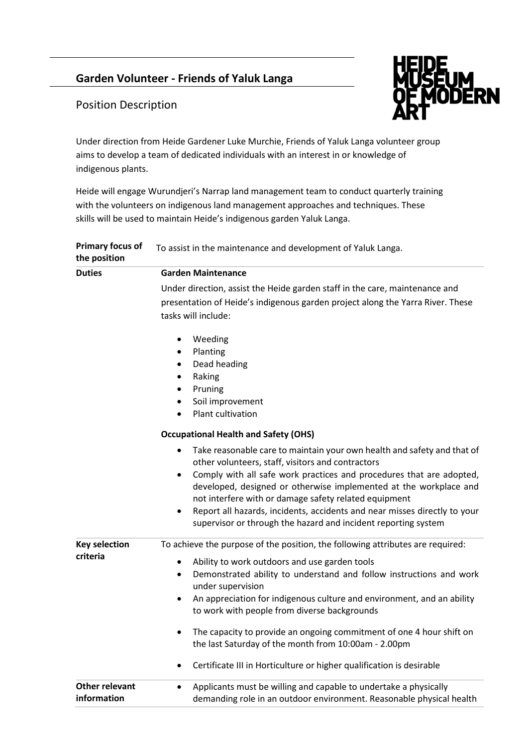# **Garden Volunteer - Friends of Yaluk Langa**



## Position Description

Under direction from Heide Gardener Luke Murchie, Friends of Yaluk Langa volunteer group aims to develop a team of dedicated individuals with an interest in or knowledge of indigenous plants.

Heide will engage Wurundjeri's Narrap land management team to conduct quarterly training with the volunteers on indigenous land management approaches and techniques. These skills will be used to maintain Heide's indigenous garden Yaluk Langa.

| <b>Primary focus of</b><br>the position | To assist in the maintenance and development of Yaluk Langa.                                                                                                                                                    |
|-----------------------------------------|-----------------------------------------------------------------------------------------------------------------------------------------------------------------------------------------------------------------|
| <b>Duties</b>                           | <b>Garden Maintenance</b>                                                                                                                                                                                       |
|                                         | Under direction, assist the Heide garden staff in the care, maintenance and                                                                                                                                     |
|                                         | presentation of Heide's indigenous garden project along the Yarra River. These                                                                                                                                  |
|                                         | tasks will include:                                                                                                                                                                                             |
|                                         | Weeding<br>$\bullet$                                                                                                                                                                                            |
|                                         | Planting<br>$\bullet$                                                                                                                                                                                           |
|                                         | Dead heading<br>$\bullet$                                                                                                                                                                                       |
|                                         | Raking<br>$\bullet$                                                                                                                                                                                             |
|                                         | Pruning<br>$\bullet$                                                                                                                                                                                            |
|                                         | Soil improvement<br>$\bullet$                                                                                                                                                                                   |
|                                         | Plant cultivation<br>$\bullet$                                                                                                                                                                                  |
|                                         | <b>Occupational Health and Safety (OHS)</b>                                                                                                                                                                     |
|                                         | Take reasonable care to maintain your own health and safety and that of<br>$\bullet$<br>other volunteers, staff, visitors and contractors                                                                       |
|                                         | Comply with all safe work practices and procedures that are adopted,<br>$\bullet$<br>developed, designed or otherwise implemented at the workplace and<br>not interfere with or damage safety related equipment |
|                                         | Report all hazards, incidents, accidents and near misses directly to your<br>$\bullet$<br>supervisor or through the hazard and incident reporting system                                                        |
| <b>Key selection</b>                    | To achieve the purpose of the position, the following attributes are required:                                                                                                                                  |
| criteria                                | Ability to work outdoors and use garden tools<br>$\bullet$                                                                                                                                                      |
|                                         | Demonstrated ability to understand and follow instructions and work<br>$\bullet$<br>under supervision                                                                                                           |
|                                         | An appreciation for indigenous culture and environment, and an ability<br>$\bullet$                                                                                                                             |
|                                         | to work with people from diverse backgrounds                                                                                                                                                                    |
|                                         | The capacity to provide an ongoing commitment of one 4 hour shift on<br>٠                                                                                                                                       |
|                                         | the last Saturday of the month from 10:00am - 2.00pm                                                                                                                                                            |
|                                         | Certificate III in Horticulture or higher qualification is desirable<br>$\bullet$                                                                                                                               |
| <b>Other relevant</b><br>information    | Applicants must be willing and capable to undertake a physically<br>demanding role in an outdoor environment. Reasonable physical health                                                                        |